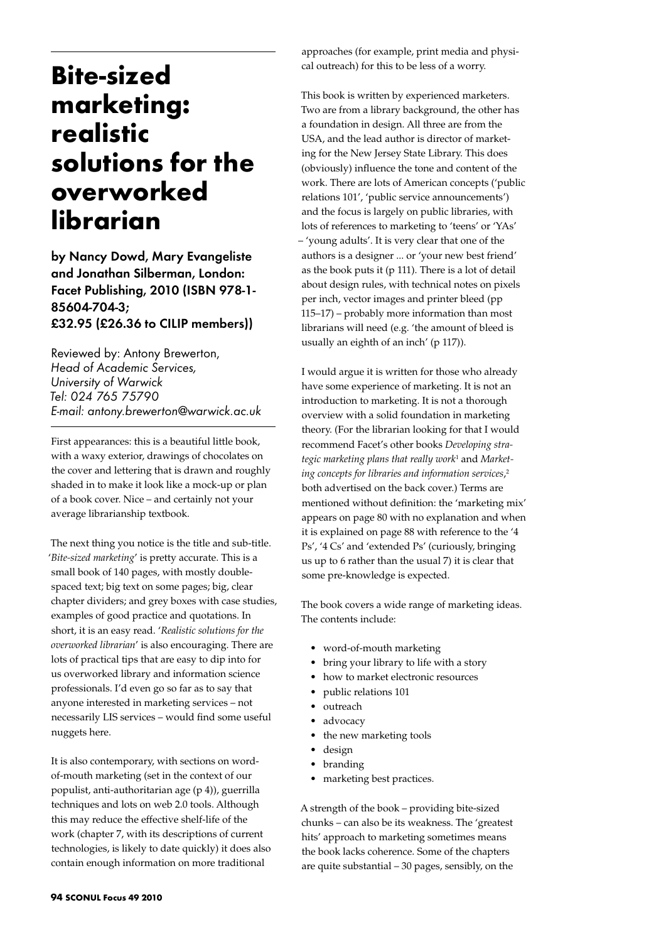## **Bite-sized marketing: realistic solutions for the overworked librarian**

by Nancy Dowd, Mary Evangeliste and Jonathan Silberman, London: Facet Publishing, 2010 (ISBN 978-1- 85604-704-3; £32.95 (£26.36 to CILIP members))

Reviewed by: Antony Brewerton, *Head of Academic Services, University of Warwick Tel: 024 765 75790 E-mail: antony.brewerton@warwick.ac.uk* 

First appearances: this is a beautiful little book, with a waxy exterior, drawings of chocolates on the cover and lettering that is drawn and roughly shaded in to make it look like a mock-up or plan of a book cover. Nice – and certainly not your average librarianship textbook.

The next thing you notice is the title and sub-title. '*Bite-sized marketing*' is pretty accurate. This is a small book of 140 pages, with mostly doublespaced text; big text on some pages; big, clear chapter dividers; and grey boxes with case studies, examples of good practice and quotations. In short, it is an easy read. '*Realistic solutions for the overworked librarian*' is also encouraging. There are lots of practical tips that are easy to dip into for us overworked library and information science professionals. I'd even go so far as to say that anyone interested in marketing services – not necessarily LIS services – would find some useful nuggets here.

It is also contemporary, with sections on wordof-mouth marketing (set in the context of our populist, anti-authoritarian age (p 4)), guerrilla techniques and lots on web 2.0 tools. Although this may reduce the effective shelf-life of the work (chapter 7, with its descriptions of current technologies, is likely to date quickly) it does also contain enough information on more traditional

approaches (for example, print media and physical outreach) for this to be less of a worry.

This book is written by experienced marketers. Two are from a library background, the other has a foundation in design. All three are from the USA, and the lead author is director of marketing for the New Jersey State Library. This does (obviously) influence the tone and content of the work. There are lots of American concepts ('public relations 101', 'public service announcements') and the focus is largely on public libraries, with lots of references to marketing to 'teens' or 'YAs' – 'young adults'. It is very clear that one of the authors is a designer ... or 'your new best friend' as the book puts it (p 111). There is a lot of detail about design rules, with technical notes on pixels per inch, vector images and printer bleed (pp 115–17) – probably more information than most librarians will need (e.g. 'the amount of bleed is usually an eighth of an inch' (p 117)).

I would argue it is written for those who already have some experience of marketing. It is not an introduction to marketing. It is not a thorough overview with a solid foundation in marketing theory. (For the librarian looking for that I would recommend Facet's other books *Developing strategic marketing plans that really work*<sup>1</sup> and *Marketing concepts for libraries and information services*, 2 both advertised on the back cover.) Terms are mentioned without definition: the 'marketing mix' appears on page 80 with no explanation and when it is explained on page 88 with reference to the '4 Ps', '4 Cs' and 'extended Ps' (curiously, bringing us up to 6 rather than the usual 7) it is clear that some pre-knowledge is expected.

The book covers a wide range of marketing ideas. The contents include:

- • word-of-mouth marketing
- bring your library to life with a story
- how to market electronic resources
- public relations 101
- outreach
- advocacy
- the new marketing tools
- • design
- • branding
- marketing best practices.

A strength of the book – providing bite-sized chunks – can also be its weakness. The 'greatest hits' approach to marketing sometimes means the book lacks coherence. Some of the chapters are quite substantial – 30 pages, sensibly, on the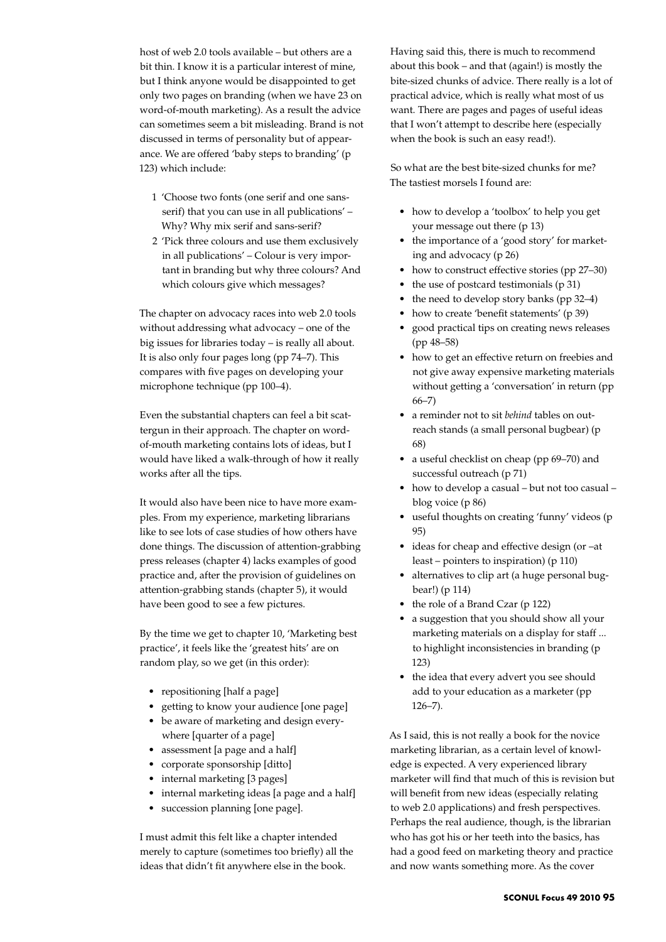host of web 2.0 tools available – but others are a bit thin. I know it is a particular interest of mine, but I think anyone would be disappointed to get only two pages on branding (when we have 23 on word-of-mouth marketing). As a result the advice can sometimes seem a bit misleading. Brand is not discussed in terms of personality but of appearance. We are offered 'baby steps to branding' (p 123) which include:

- 1 'Choose two fonts (one serif and one sansserif) that you can use in all publications' – Why? Why mix serif and sans-serif?
- 2 'Pick three colours and use them exclusively in all publications' – Colour is very important in branding but why three colours? And which colours give which messages?

The chapter on advocacy races into web 2.0 tools without addressing what advocacy – one of the big issues for libraries today – is really all about. It is also only four pages long (pp 74–7). This compares with five pages on developing your microphone technique (pp 100–4).

Even the substantial chapters can feel a bit scattergun in their approach. The chapter on wordof-mouth marketing contains lots of ideas, but I would have liked a walk-through of how it really works after all the tips.

It would also have been nice to have more examples. From my experience, marketing librarians like to see lots of case studies of how others have done things. The discussion of attention-grabbing press releases (chapter 4) lacks examples of good practice and, after the provision of guidelines on attention-grabbing stands (chapter 5), it would have been good to see a few pictures.

By the time we get to chapter 10, 'Marketing best practice', it feels like the 'greatest hits' are on random play, so we get (in this order):

- repositioning [half a page]
- getting to know your audience [one page]
- be aware of marketing and design everywhere [quarter of a page]
- assessment [a page and a half]
- • corporate sponsorship [ditto]
- internal marketing [3 pages]
- internal marketing ideas [a page and a half]
- succession planning [one page].

I must admit this felt like a chapter intended merely to capture (sometimes too briefly) all the ideas that didn't fit anywhere else in the book.

Having said this, there is much to recommend about this book – and that (again!) is mostly the bite-sized chunks of advice. There really is a lot of practical advice, which is really what most of us want. There are pages and pages of useful ideas that I won't attempt to describe here (especially when the book is such an easy read!).

So what are the best bite-sized chunks for me? The tastiest morsels I found are:

- how to develop a 'toolbox' to help you get your message out there (p 13)
- the importance of a 'good story' for marketing and advocacy (p 26)
- how to construct effective stories (pp 27–30)
- the use of postcard testimonials (p 31)
- the need to develop story banks (pp 32-4)
- how to create 'benefit statements' (p 39)
- good practical tips on creating news releases (pp 48–58)
- how to get an effective return on freebies and not give away expensive marketing materials without getting a 'conversation' in return (pp 66–7)
- • a reminder not to sit *behind* tables on outreach stands (a small personal bugbear) (p 68)
- a useful checklist on cheap (pp 69-70) and successful outreach (p 71)
- how to develop a casual but not too casual blog voice (p 86)
- useful thoughts on creating 'funny' videos (p 95)
- ideas for cheap and effective design (or –at least – pointers to inspiration) (p 110)
- alternatives to clip art (a huge personal bugbear!) (p 114)
- the role of a Brand Czar (p 122)
- a suggestion that you should show all your marketing materials on a display for staff ... to highlight inconsistencies in branding (p 123)
- the idea that every advert you see should add to your education as a marketer (pp 126–7).

As I said, this is not really a book for the novice marketing librarian, as a certain level of knowledge is expected. A very experienced library marketer will find that much of this is revision but will benefit from new ideas (especially relating to web 2.0 applications) and fresh perspectives. Perhaps the real audience, though, is the librarian who has got his or her teeth into the basics, has had a good feed on marketing theory and practice and now wants something more. As the cover